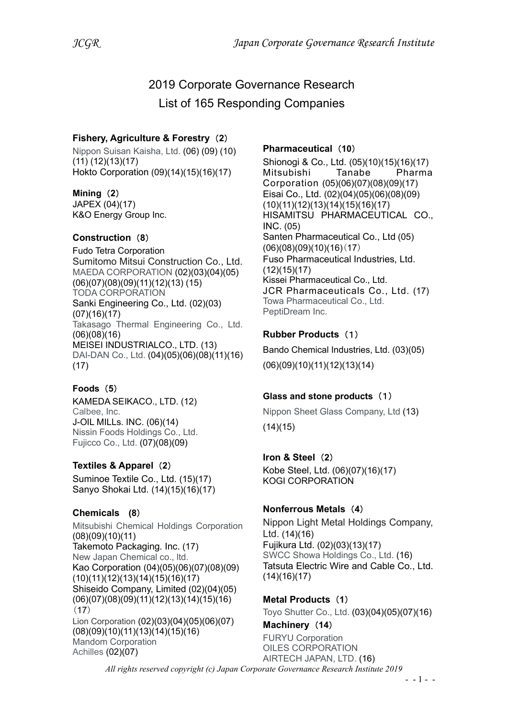# 2019 Corporate Governance Research

List of 165 Responding Companies

## Fishery, Agriculture & Forestry (2)

Nippon Suisan Kaisha, Ltd. (06) (09) (10) (11) (12)(13)(17) Hokto Corporation (09)(14)(15)(16)(17)

## Mining (2)

JAPEX (04)(17) K&O Energy Group Inc.

## Construction (8)

Fudo Tetra Corporation Sumitomo Mitsui Construction Co., Ltd. MAEDA CORPORATION (02)(03)(04)(05) (06)(07)(08)(09)(11)(12)(13) (15) TODA CORPORATION Sanki Engineering Co., Ltd. (02)(03) (07)(16)(17) Takasago Thermal Engineering Co., Ltd. (06)(08)(16) MEISEI INDUSTRIALCO., LTD. (13) DAI-DAN Co., Ltd. (04)(05)(06)(08)(11)(16) (17)

# Foods (5)

KAMEDA SEIKACO., LTD. (12) Calbee, Inc. J-OIL MILLs. INC. (06)(14) Nissin Foods Holdings Co., Ltd. Fujicco Co., Ltd. (07)(08)(09)

# Textiles & Apparel (2)

Suminoe Textile Co., Ltd. (15)(17) Sanyo Shokai Ltd. (14)(15)(16)(17)

## Chemicals (8)

Mitsubishi Chemical Holdings Corporation (08)(09)(10)(11) Takemoto Packaging. Inc. (17) New Japan Chemical co., ltd. Kao Corporation (04)(05)(06)(07)(08)(09) (10)(11)(12)(13)(14)(15)(16)(17) Shiseido Company, Limited (02)(04)(05) (06)(07)(08)(09)(11)(12)(13)(14)(15)(16)  $(17)$ Lion Corporation (02)(03)(04)(05)(06)(07) (08)(09)(10)(11)(13)(14)(15)(16) Mandom Corporation Achilles (02)(07)

## Pharmaceutical (10)

Shionogi & Co., Ltd. (05)(10)(15)(16)(17) Mitsubishi Tanabe Pharma Corporation (05)(06)(07)(08)(09)(17) Eisai Co., Ltd. (02)(04)(05)(06)(08)(09) (10)(11)(12)(13)(14)(15)(16)(17) HISAMITSU PHARMACEUTICAL CO., INC. (05) Santen Pharmaceutical Co., Ltd (05)  $(06)(08)(09)(10)(16)(17)$ Fuso Pharmaceutical Industries, Ltd. (12)(15)(17) Kissei Pharmaceutical Co., Ltd. JCR Pharmaceuticals Co., Ltd. (17) Towa Pharmaceutical Co., Ltd. PeptiDream Inc.

# Rubber Products (1)

Bando Chemical Industries, Ltd. (03)(05) (06)(09)(10)(11)(12)(13)(14)

## Glass and stone products (1)

Nippon Sheet Glass Company, Ltd (13)  $(14)(15)$ 

## Iron & Steel (2)

Kobe Steel, Ltd. (06)(07)(16)(17) KOGI CORPORATION

## Nonferrous Metals (4)

Nippon Light Metal Holdings Company, Ltd. (14)(16) Fujikura Ltd. (02)(03)(13)(17) SWCC Showa Holdings Co., Ltd. (16) Tatsuta Electric Wire and Cable Co., Ltd.  $(14)(16)(17)$ 

Metal Products (1) Toyo Shutter Co., Ltd. (03)(04)(05)(07)(16)

#### Machinery (14) FURYU Corporation OILES CORPORATION AIRTECH JAPAN, LTD. (16)

All rights reserved copyright (c) Japan Corporate Governance Research Institute 2019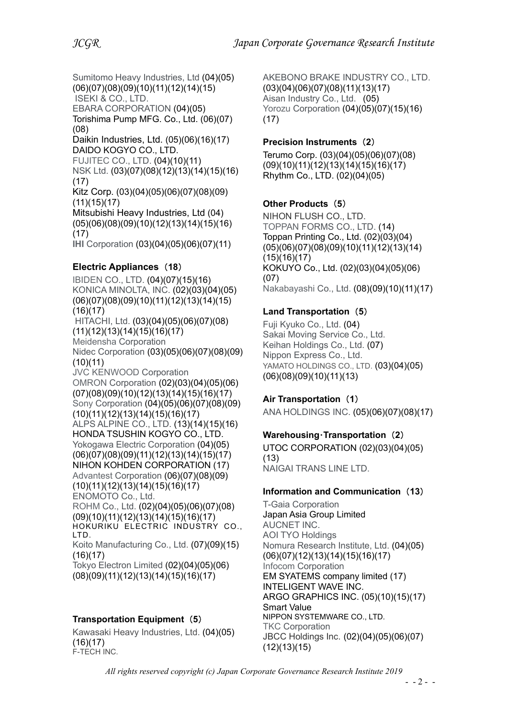Sumitomo Heavy Industries, Ltd (04)(05) (06)(07)(08)(09)(10)(11)(12)(14)(15) ISEKI & CO., LTD. EBARA CORPORATION (04)(05)

Torishima Pump MFG. Co., Ltd. (06)(07) (08)

Daikin Industries, Ltd. (05)(06)(16)(17) DAIDO KOGYO CO., LTD. FUJITEC CO., LTD. (04)(10)(11)

NSK Ltd. (03)(07)(08)(12)(13)(14)(15)(16) (17)

Kitz Corp. (03)(04)(05)(06)(07)(08)(09) (11)(15)(17)

Mitsubishi Heavy Industries, Ltd (04) (05)(06)(08)(09)(10)(12)(13)(14)(15)(16) (17)

IHI Corporation (03)(04)(05)(06)(07)(11)

## Electric Appliances (18)

IBIDEN CO., LTD. (04)(07)(15)(16) KONICA MINOLTA, INC. (02)(03)(04)(05) (06)(07)(08)(09)(10)(11)(12)(13)(14)(15) (16)(17) HITACHI, Ltd. (03)(04)(05)(06)(07)(08) (11)(12)(13)(14)(15)(16)(17) Meidensha Corporation Nidec Corporation (03)(05)(06)(07)(08)(09) (10)(11) JVC KENWOOD Corporation OMRON Corporation (02)(03)(04)(05)(06) (07)(08)(09)(10)(12)(13)(14)(15)(16)(17) Sony Corporation (04)(05)(06)(07)(08)(09) (10)(11)(12)(13)(14)(15)(16)(17) ALPS ALPINE CO., LTD. (13)(14)(15)(16) HONDA TSUSHIN KOGYO CO., LTD. Yokogawa Electric Corporation (04)(05) (06)(07)(08)(09)(11)(12)(13)(14)(15)(17) NIHON KOHDEN CORPORATION (17) Advantest Corporation (06)(07)(08)(09) (10)(11)(12)(13)(14)(15)(16)(17) ENOMOTO Co., Ltd. ROHM Co., Ltd. (02)(04)(05)(06)(07)(08) (09)(10)(11)(12)(13)(14)(15)(16)(17) HOKURIKU ELECTRIC INDUSTRY CO., LTD. Koito Manufacturing Co., Ltd. (07)(09)(15) (16)(17) Tokyo Electron Limited (02)(04)(05)(06) (08)(09)(11)(12)(13)(14)(15)(16)(17)

### Transportation Equipment (5)

Kawasaki Heavy Industries, Ltd. (04)(05) (16)(17) F-TECH INC.

AKEBONO BRAKE INDUSTRY CO., LTD. (03)(04)(06)(07)(08)(11)(13)(17) Aisan Industry Co., Ltd. (05) Yorozu Corporation (04)(05)(07)(15)(16) (17)

#### Precision Instruments (2)

Terumo Corp. (03)(04)(05)(06)(07)(08) (09)(10)(11)(12)(13)(14)(15)(16)(17) Rhythm Co., LTD. (02)(04)(05)

### Other Products (5)

NIHON FLUSH CO., LTD. TOPPAN FORMS CO., LTD. (14) Toppan Printing Co., Ltd. (02)(03)(04) (05)(06)(07)(08)(09)(10)(11)(12)(13)(14) (15)(16)(17) KOKUYO Co., Ltd. (02)(03)(04)(05)(06) (07) Nakabayashi Co., Ltd. (08)(09)(10)(11)(17)

## Land Transportation (5)

Fuji Kyuko Co., Ltd. (04) Sakai Moving Service Co., Ltd. Keihan Holdings Co., Ltd. (07) Nippon Express Co., Ltd. YAMATO HOLDINGS CO., LTD. (03)(04)(05) (06)(08)(09)(10)(11)(13)

### Air Transportation (1)

ANA HOLDINGS INC. (05)(06)(07)(08)(17)

### Warehousing・Transportation (2)

UTOC CORPORATION (02)(03)(04)(05) (13) NAIGAI TRANS LINE LTD.

### Information and Communication (13)

T-Gaia Corporation Japan Asia Group Limited AUCNET INC. AOI TYO Holdings Nomura Research Institute, Ltd. (04)(05) (06)(07)(12)(13)(14)(15)(16)(17) Infocom Corporation EM SYATEMS company limited (17) INTELIGENT WAVE INC. ARGO GRAPHICS INC. (05)(10)(15)(17) Smart Value NIPPON SYSTEMWARE CO., LTD. TKC Corporation JBCC Holdings Inc. (02)(04)(05)(06)(07) (12)(13)(15)

All rights reserved copyright (c) Japan Corporate Governance Research Institute 2019